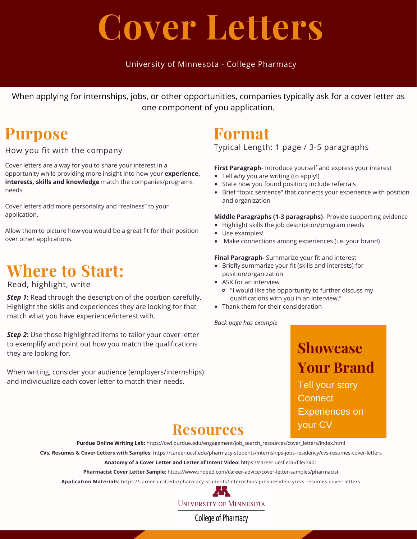# **Cover Letters**

#### University of Minnesota - College Pharmacy

When applying for internships, jobs, or other opportunities, companies typically ask for a cover letter as one component of you application.

### **Purpose**

How you fit with the company

Cover letters are a way for you to share your interest in a opportunity while providing more insight into how your **experience, interests, skills and knowledge** match the companies/programs needs

Cover letters add more personality and "realness" to your application.

Allow them to picture how you would be a great fit for their position over other applications.

## **Where to Start:**

#### Read, highlight, write

*Step 1***:** Read through the description of the position carefully. Highlight the skills and experiences they are looking for that match what you have experience/interest with.

*Step 2***:** Use those highlighted items to tailor your cover letter to exemplify and point out how you match the qualifications they are looking for.

When writing, consider your audience (employers/internships) and individualize each cover letter to match their needs.

## **Format**

Typical Length: 1 page / 3-5 paragraphs

**First Paragraph**- Introduce yourself and express your interest

- Tell why you are writing (to apply!)
- State how you found position; include referrals
- Brief "topic sentence" that connects your experience with position and organization

**Middle Paragraphs (1-3 paragraphs)**- Provide supporting evidence

- Highlight skills the job description/program needs
- Use examples!
- Make connections among experiences (i.e. your brand)

#### **Final Paragraph-** Summarize your fit and interest

- Briefly summarize your fit (skills and interests) for position/organization
- ASK for an interview
	- "I would like the opportunity to further discuss my qualifications with you in an interview."
- Thank them for their consideration

*Back page has example*

**Showcase Your Brand** Tell your story **Connect** Experiences on your CV

### **Resources**

**Purdue Online Writing Lab:** https://owl.purdue.edu/engagement/job\_search\_resources/cover\_letters/index.html

**CVs, Resumes & Cover Letters with Samples:** https://career.ucsf.edu/pharmacy-students/internships-jobs-residency/cvs-resumes-cover-letters

**Anatomy of a Cover Letter and Letter of Intent Video:** https://career.ucsf.edu/file/7401

**Pharmacist Cover Letter Sample:** https://www.indeed.com/career-advice/cover-letter-samples/pharmacist

**Application Materials:** https://career.ucsf.edu/pharmacy-students/internships-jobs-residency/cvs-resumes-cover-letters



**UNIVERSITY OF MINNESOTA** 

College of Pharmacy